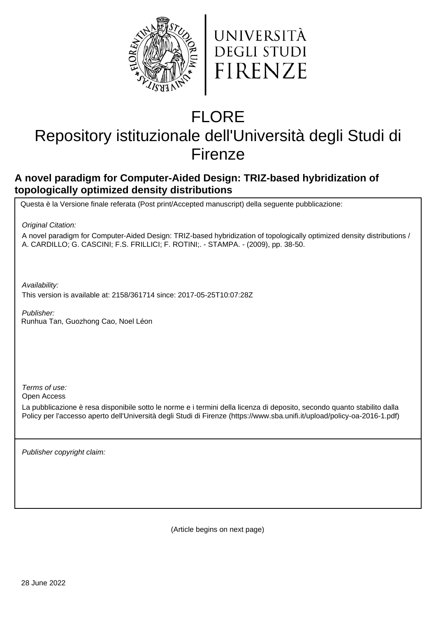



# FLORE

# Repository istituzionale dell'Università degli Studi di Firenze

## **A novel paradigm for Computer-Aided Design: TRIZ-based hybridization of topologically optimized density distributions**

Questa è la Versione finale referata (Post print/Accepted manuscript) della seguente pubblicazione:

Original Citation:

A novel paradigm for Computer-Aided Design: TRIZ-based hybridization of topologically optimized density distributions / A. CARDILLO; G. CASCINI; F.S. FRILLICI; F. ROTINI;. - STAMPA. - (2009), pp. 38-50.

Availability:

This version is available at: 2158/361714 since: 2017-05-25T10:07:28Z

Publisher: Runhua Tan, Guozhong Cao, Noel Léon

Terms of use:

Open Access

La pubblicazione è resa disponibile sotto le norme e i termini della licenza di deposito, secondo quanto stabilito dalla Policy per l'accesso aperto dell'Università degli Studi di Firenze (https://www.sba.unifi.it/upload/policy-oa-2016-1.pdf)

Publisher copyright claim:

(Article begins on next page)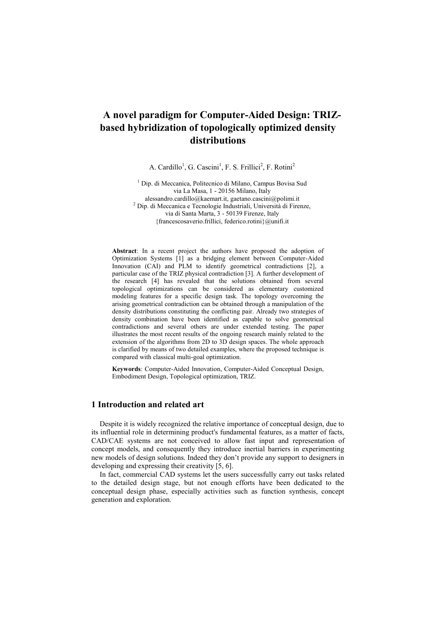### **A novel paradigm for Computer-Aided Design: TRIZbased hybridization of topologically optimized density distributions**

A. Cardillo<sup>1</sup>, G. Cascini<sup>1</sup>, F. S. Frillici<sup>2</sup>, F. Rotini<sup>2</sup>

<sup>1</sup> Dip. di Meccanica, Politecnico di Milano, Campus Bovisa Sud via La Masa, 1 - 20156 Milano, Italy alessandro.cardillo@kaemart.it, gaetano.cascini@polimi.it <sup>2</sup> Dip. di Meccanica e Tecnologie Industriali, Università di Firenze, via di Santa Marta, 3 - 50139 Firenze, Italy {francescosaverio.frillici[, federico.rotini}@unifi.it](mailto:federico.rotini%7d@unifi.it)

**Abstract**: In a recent project the authors have proposed the adoption of Optimization Systems [1] as a bridging element between Computer-Aided Innovation (CAI) and PLM to identify geometrical contradictions [2], a particular case of the TRIZ physical contradiction [3]. A further development of the research [4] has revealed that the solutions obtained from several topological optimizations can be considered as elementary customized modeling features for a specific design task. The topology overcoming the arising geometrical contradiction can be obtained through a manipulation of the density distributions constituting the conflicting pair. Already two strategies of density combination have been identified as capable to solve geometrical contradictions and several others are under extended testing. The paper illustrates the most recent results of the ongoing research mainly related to the extension of the algorithms from 2D to 3D design spaces. The whole approach is clarified by means of two detailed examples, where the proposed technique is compared with classical multi-goal optimization.

**Keywords**: Computer-Aided Innovation, Computer-Aided Conceptual Design, Embodiment Design, Topological optimization, TRIZ.

#### **1 Introduction and related art**

Despite it is widely recognized the relative importance of conceptual design, due to its influential role in determining product's fundamental features, as a matter of facts, CAD/CAE systems are not conceived to allow fast input and representation of concept models, and consequently they introduce inertial barriers in experimenting new models of design solutions. Indeed they don't provide any support to designers in developing and expressing their creativity [5, 6].

In fact, commercial CAD systems let the users successfully carry out tasks related to the detailed design stage, but not enough efforts have been dedicated to the conceptual design phase, especially activities such as function synthesis, concept generation and exploration.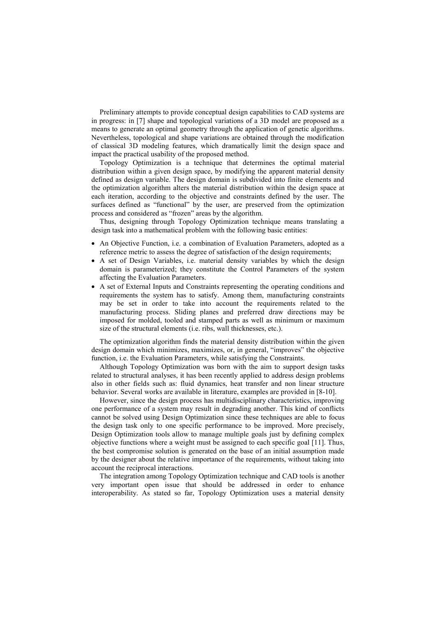Preliminary attempts to provide conceptual design capabilities to CAD systems are in progress: in [7] shape and topological variations of a 3D model are proposed as a means to generate an optimal geometry through the application of genetic algorithms. Nevertheless, topological and shape variations are obtained through the modification of classical 3D modeling features, which dramatically limit the design space and impact the practical usability of the proposed method.

Topology Optimization is a technique that determines the optimal material distribution within a given design space, by modifying the apparent material density defined as design variable. The design domain is subdivided into finite elements and the optimization algorithm alters the material distribution within the design space at each iteration, according to the objective and constraints defined by the user. The surfaces defined as "functional" by the user, are preserved from the optimization process and considered as "frozen" areas by the algorithm.

Thus, designing through Topology Optimization technique means translating a design task into a mathematical problem with the following basic entities:

- An Objective Function, i.e. a combination of Evaluation Parameters, adopted as a reference metric to assess the degree of satisfaction of the design requirements;
- A set of Design Variables, i.e. material density variables by which the design domain is parameterized; they constitute the Control Parameters of the system affecting the Evaluation Parameters.
- A set of External Inputs and Constraints representing the operating conditions and requirements the system has to satisfy. Among them, manufacturing constraints may be set in order to take into account the requirements related to the manufacturing process. Sliding planes and preferred draw directions may be imposed for molded, tooled and stamped parts as well as minimum or maximum size of the structural elements (i.e. ribs, wall thicknesses, etc.).

The optimization algorithm finds the material density distribution within the given design domain which minimizes, maximizes, or, in general, "improves" the objective function, i.e. the Evaluation Parameters, while satisfying the Constraints.

Although Topology Optimization was born with the aim to support design tasks related to structural analyses, it has been recently applied to address design problems also in other fields such as: fluid dynamics, heat transfer and non linear structure behavior. Several works are available in literature, examples are provided in [8-10].

However, since the design process has multidisciplinary characteristics, improving one performance of a system may result in degrading another. This kind of conflicts cannot be solved using Design Optimization since these techniques are able to focus the design task only to one specific performance to be improved. More precisely, Design Optimization tools allow to manage multiple goals just by defining complex objective functions where a weight must be assigned to each specific goal [11]. Thus, the best compromise solution is generated on the base of an initial assumption made by the designer about the relative importance of the requirements, without taking into account the reciprocal interactions.

The integration among Topology Optimization technique and CAD tools is another very important open issue that should be addressed in order to enhance interoperability. As stated so far, Topology Optimization uses a material density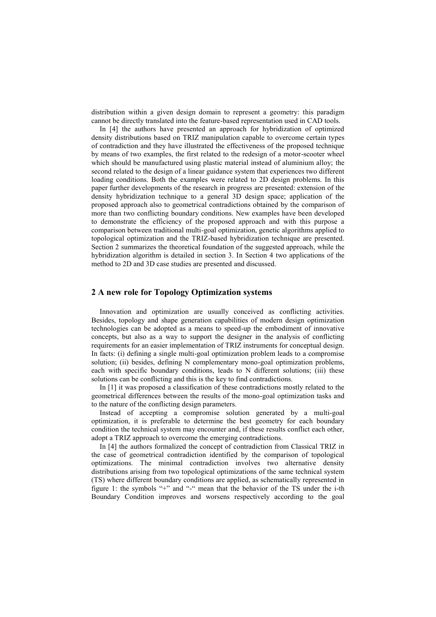distribution within a given design domain to represent a geometry: this paradigm cannot be directly translated into the feature-based representation used in CAD tools.

In [4] the authors have presented an approach for hybridization of optimized density distributions based on TRIZ manipulation capable to overcome certain types of contradiction and they have illustrated the effectiveness of the proposed technique by means of two examples, the first related to the redesign of a motor-scooter wheel which should be manufactured using plastic material instead of aluminium alloy; the second related to the design of a linear guidance system that experiences two different loading conditions. Both the examples were related to 2D design problems. In this paper further developments of the research in progress are presented: extension of the density hybridization technique to a general 3D design space; application of the proposed approach also to geometrical contradictions obtained by the comparison of more than two conflicting boundary conditions. New examples have been developed to demonstrate the efficiency of the proposed approach and with this purpose a comparison between traditional multi-goal optimization, genetic algorithms applied to topological optimization and the TRIZ-based hybridization technique are presented. Section 2 summarizes the theoretical foundation of the suggested approach, while the hybridization algorithm is detailed in section 3. In Section 4 two applications of the method to 2D and 3D case studies are presented and discussed.

#### **2 A new role for Topology Optimization systems**

Innovation and optimization are usually conceived as conflicting activities. Besides, topology and shape generation capabilities of modern design optimization technologies can be adopted as a means to speed-up the embodiment of innovative concepts, but also as a way to support the designer in the analysis of conflicting requirements for an easier implementation of TRIZ instruments for conceptual design. In facts: (i) defining a single multi-goal optimization problem leads to a compromise solution; (ii) besides, defining N complementary mono-goal optimization problems, each with specific boundary conditions, leads to N different solutions; (iii) these solutions can be conflicting and this is the key to find contradictions.

In [1] it was proposed a classification of these contradictions mostly related to the geometrical differences between the results of the mono-goal optimization tasks and to the nature of the conflicting design parameters.

Instead of accepting a compromise solution generated by a multi-goal optimization, it is preferable to determine the best geometry for each boundary condition the technical system may encounter and, if these results conflict each other, adopt a TRIZ approach to overcome the emerging contradictions.

In [4] the authors formalized the concept of contradiction from Classical TRIZ in the case of geometrical contradiction identified by the comparison of topological optimizations. The minimal contradiction involves two alternative density distributions arising from two topological optimizations of the same technical system (TS) where different boundary conditions are applied, as schematically represented in figure 1: the symbols "+" and "-" mean that the behavior of the TS under the i-th Boundary Condition improves and worsens respectively according to the goal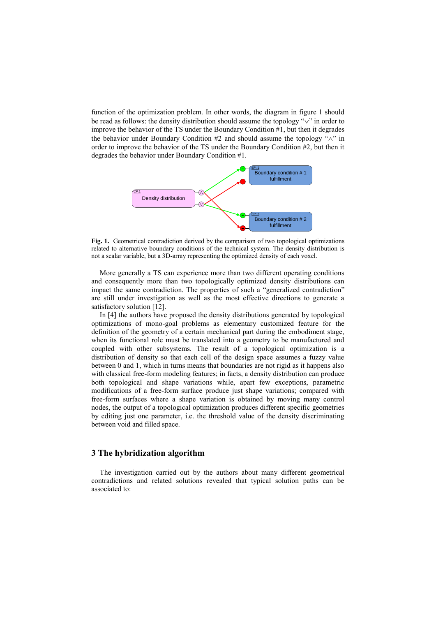function of the optimization problem. In other words, the diagram in figure 1 should be read as follows: the density distribution should assume the topology " $\vee$ " in order to improve the behavior of the TS under the Boundary Condition #1, but then it degrades the behavior under Boundary Condition  $#2$  and should assume the topology " $\wedge$ " in order to improve the behavior of the TS under the Boundary Condition #2, but then it degrades the behavior under Boundary Condition #1.



**Fig. 1.** Geometrical contradiction derived by the comparison of two topological optimizations related to alternative boundary conditions of the technical system. The density distribution is not a scalar variable, but a 3D-array representing the optimized density of each voxel.

More generally a TS can experience more than two different operating conditions and consequently more than two topologically optimized density distributions can impact the same contradiction. The properties of such a "generalized contradiction" are still under investigation as well as the most effective directions to generate a satisfactory solution [12].

In [4] the authors have proposed the density distributions generated by topological optimizations of mono-goal problems as elementary customized feature for the definition of the geometry of a certain mechanical part during the embodiment stage, when its functional role must be translated into a geometry to be manufactured and coupled with other subsystems. The result of a topological optimization is a distribution of density so that each cell of the design space assumes a fuzzy value between 0 and 1, which in turns means that boundaries are not rigid as it happens also with classical free-form modeling features; in facts, a density distribution can produce both topological and shape variations while, apart few exceptions, parametric modifications of a free-form surface produce just shape variations; compared with free-form surfaces where a shape variation is obtained by moving many control nodes, the output of a topological optimization produces different specific geometries by editing just one parameter, i.e. the threshold value of the density discriminating between void and filled space.

#### **3 The hybridization algorithm**

The investigation carried out by the authors about many different geometrical contradictions and related solutions revealed that typical solution paths can be associated to: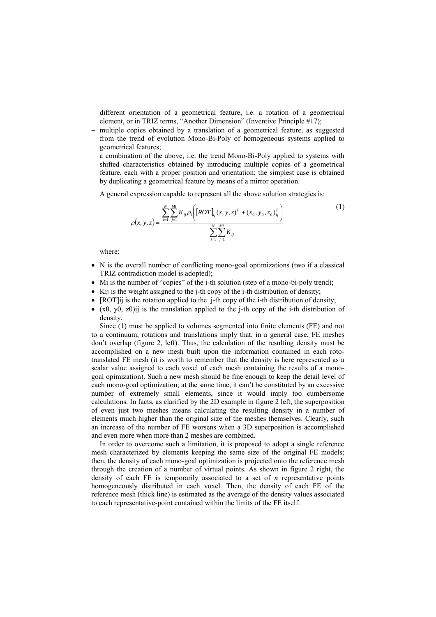- different orientation of a geometrical feature, i.e. a rotation of a geometrical element, or in TRIZ terms, "Another Dimension" (Inventive Principle #17);
- multiple copies obtained by a translation of a geometrical feature, as suggested from the trend of evolution Mono-Bi-Poly of homogeneous systems applied to geometrical features;
- a combination of the above, i.e. the trend Mono-Bi-Poly applied to systems with shifted characteristics obtained by introducing multiple copies of a geometrical feature, each with a proper position and orientation; the simplest case is obtained by duplicating a geometrical feature by means of a mirror operation.

A general expression capable to represent all the above solution strategies is:

$$
\rho(x, y, z) = \frac{\sum_{i=1}^{N} \sum_{j=1}^{Mi} K_{ij} \rho_i \left( [ROT]_{ij}(x, y, z)^T + (x_0, y_0, z_0)^T_{ij} \right)}{\sum_{i=1}^{N} \sum_{j=1}^{Mi} K_{ij}}
$$
(1)

where:

- N is the overall number of conflicting mono-goal optimizations (two if a classical TRIZ contradiction model is adopted);
- Mi is the number of "copies" of the i-th solution (step of a mono-bi-poly trend);
- Kij is the weight assigned to the j-th copy of the i-th distribution of density;
- $\bullet$  [ROT]ij is the rotation applied to the j-th copy of the i-th distribution of density;
- $\bullet$  (x0, y0, z0)ij is the translation applied to the j-th copy of the j-th distribution of density.

Since (1) must be applied to volumes segmented into finite elements (FE) and not to a continuum, rotations and translations imply that, in a general case, FE meshes don't overlap (figure 2, left). Thus, the calculation of the resulting density must be accomplished on a new mesh built upon the information contained in each rototranslated FE mesh (it is worth to remember that the density is here represented as a scalar value assigned to each voxel of each mesh containing the results of a monogoal opimization). Such a new mesh should be fine enough to keep the detail level of each mono-goal optimization; at the same time, it can't be constituted by an excessive number of extremely small elements, since it would imply too cumbersome calculations. In facts, as clarified by the 2D example in figure 2 left, the superposition of even just two meshes means calculating the resulting density in a number of elements much higher than the original size of the meshes themselves. Clearly, such an increase of the number of FE worsens when a 3D superposition is accomplished and even more when more than 2 meshes are combined.

In order to overcome such a limitation, it is proposed to adopt a single reference mesh characterized by elements keeping the same size of the original FE models; then, the density of each mono-goal optimization is projected onto the reference mesh through the creation of a number of virtual points. As shown in figure 2 right, the density of each FE is temporarily associated to a set of *n* representative points homogeneously distributed in each voxel. Then, the density of each FE of the reference mesh (thick line) is estimated as the average of the density values associated to each representative-point contained within the limits of the FE itself.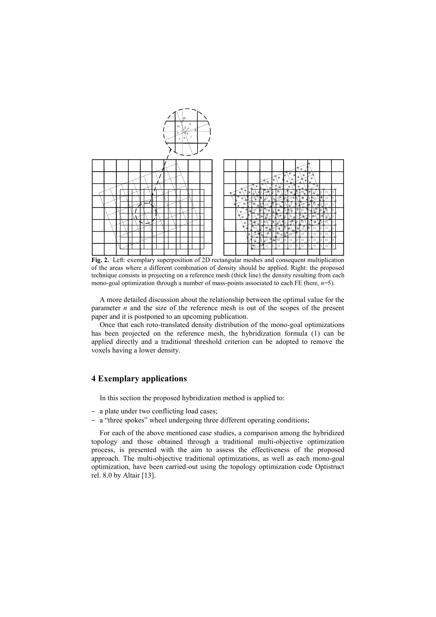

**Fig. 2.** Left: exemplary superposition of 2D rectangular meshes and consequent multiplication of the areas where a different combination of density should be applied. Right: the proposed technique consists in projecting on a reference mesh (thick line) the density resulting from each mono-goal optimization through a number of mass-points associated to each FE (here, *n*=5).

A more detailed discussion about the relationship between the optimal value for the parameter *n* and the size of the reference mesh is out of the scopes of the present paper and it is postponed to an upcoming publication.

Once that each roto-translated density distribution of the mono-goal optimizations has been projected on the reference mesh, the hybridization formula (1) can be applied directly and a traditional threshold criterion can be adopted to remove the voxels having a lower density.

#### **4 Exemplary applications**

In this section the proposed hybridization method is applied to:

- a plate under two conflicting load cases;
- a "three spokes" wheel undergoing three different operating conditions;

For each of the above mentioned case studies, a comparison among the hybridized topology and those obtained through a traditional multi-objective optimization process, is presented with the aim to assess the effectiveness of the proposed approach. The multi-objective traditional optimizations, as well as each mono-goal optimization, have been carried-out using the topology optimization code Optistruct rel. 8.0 by Altair [13].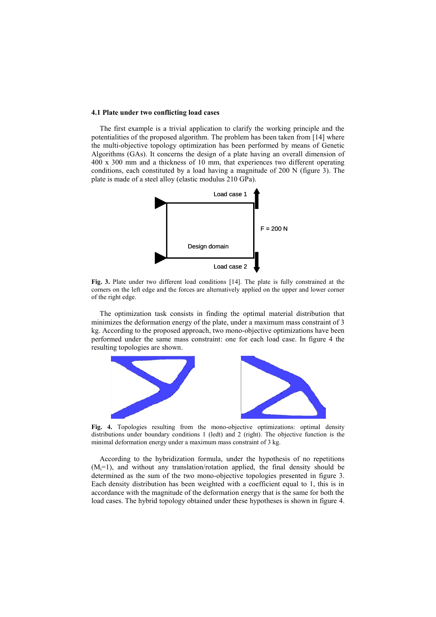#### **4.1 Plate under two conflicting load cases**

The first example is a trivial application to clarify the working principle and the potentialities of the proposed algorithm. The problem has been taken from [14] where the multi-objective topology optimization has been performed by means of Genetic Algorithms (GAs). It concerns the design of a plate having an overall dimension of 400 x 300 mm and a thickness of 10 mm, that experiences two different operating conditions, each constituted by a load having a magnitude of 200 N (figure 3). The plate is made of a steel alloy (elastic modulus 210 GPa).



**Fig. 3.** Plate under two different load conditions [14]. The plate is fully constrained at the corners on the left edge and the forces are alternatively applied on the upper and lower corner of the right edge.

The optimization task consists in finding the optimal material distribution that minimizes the deformation energy of the plate, under a maximum mass constraint of 3 kg. According to the proposed approach, two mono-objective optimizations have been performed under the same mass constraint: one for each load case. In figure 4 the resulting topologies are shown.



**Fig. 4.** Topologies resulting from the mono-objective optimizations: optimal density distributions under boundary conditions 1 (ledt) and 2 (right). The objective function is the minimal deformation energy under a maximum mass constraint of 3 kg.

According to the hybridization formula, under the hypothesis of no repetitions  $(M<sub>i</sub>=1)$ , and without any translation/rotation applied, the final density should be determined as the sum of the two mono-objective topologies presented in figure 3. Each density distribution has been weighted with a coefficient equal to 1, this is in accordance with the magnitude of the deformation energy that is the same for both the load cases. The hybrid topology obtained under these hypotheses is shown in figure 4.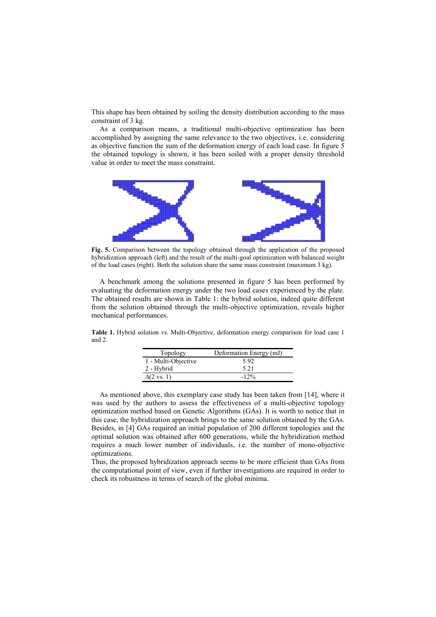This shape has been obtained by soiling the density distribution according to the mass constraint of 3 kg.

As a comparison means, a traditional multi-objective optimization has been accomplished by assigning the same relevance to the two objectives, i.e. considering as objective function the sum of the deformation energy of each load case. In figure 5 the obtained topology is shown, it has been soiled with a proper density threshold value in order to meet the mass constraint.



**Fig. 5.** Comparison between the topology obtained through the application of the proposed hybridization approach (left) and the result of the multi-goal optimization with balanced weight of the load cases (right). Both the solution share the same mass constraint (maximum 3 kg).

A benchmark among the solutions presented in figure 5 has been performed by evaluating the deformation energy under the two load cases experienced by the plate. The obtained results are shown in Table 1: the hybrid solution, indeed quite different from the solution obtained through the multi-objective optimization, reveals higher mechanical performances.

**Table 1.** Hybrid solution vs. Multi-Objective, deformation energy comparison for load case 1 and 2.

| Topology                   | Deformation Energy (mJ) |  |
|----------------------------|-------------------------|--|
| 1 - Multi-Objective        | 592                     |  |
| 2 - Hybrid                 | 5 21                    |  |
| $\Delta(2 \text{ vs. } 1)$ | $-12\%$                 |  |

As mentioned above, this exemplary case study has been taken from [14], where it was used by the authors to assess the effectiveness of a multi-objective topology optimization method based on Genetic Algorithms (GAs). It is worth to notice that in this case, the hybridization approach brings to the same solution obtained by the GAs. Besides, in [4] GAs required an initial population of 200 different topologies and the optimal solution was obtained after 600 generations, while the hybridization method requires a much lower number of individuals, i.e. the number of mono-objective optimizations.

Thus, the proposed hybridization approach seems to be more efficient than GAs from the computational point of view, even if further investigations are required in order to check its robustness in terms of search of the global minima.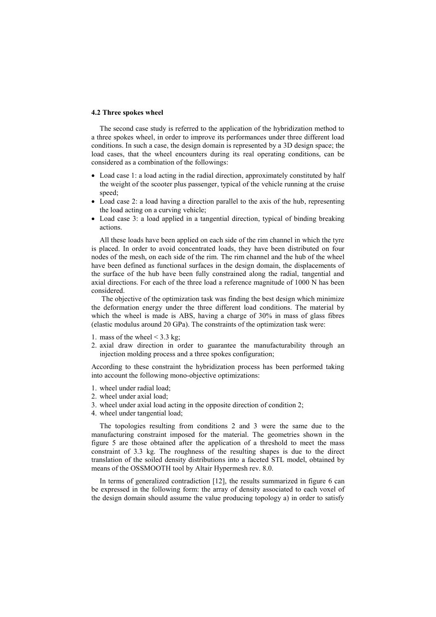#### **4.2 Three spokes wheel**

The second case study is referred to the application of the hybridization method to a three spokes wheel, in order to improve its performances under three different load conditions. In such a case, the design domain is represented by a 3D design space; the load cases, that the wheel encounters during its real operating conditions, can be considered as a combination of the followings:

- Load case 1: a load acting in the radial direction, approximately constituted by half the weight of the scooter plus passenger, typical of the vehicle running at the cruise speed;
- Load case 2: a load having a direction parallel to the axis of the hub, representing the load acting on a curving vehicle;
- Load case 3: a load applied in a tangential direction, typical of binding breaking actions.

All these loads have been applied on each side of the rim channel in which the tyre is placed. In order to avoid concentrated loads, they have been distributed on four nodes of the mesh, on each side of the rim. The rim channel and the hub of the wheel have been defined as functional surfaces in the design domain, the displacements of the surface of the hub have been fully constrained along the radial, tangential and axial directions. For each of the three load a reference magnitude of 1000 N has been considered.

The objective of the optimization task was finding the best design which minimize the deformation energy under the three different load conditions. The material by which the wheel is made is ABS, having a charge of 30% in mass of glass fibres (elastic modulus around 20 GPa). The constraints of the optimization task were:

- 1. mass of the wheel  $\leq$  3.3 kg;
- 2. axial draw direction in order to guarantee the manufacturability through an injection molding process and a three spokes configuration;

According to these constraint the hybridization process has been performed taking into account the following mono-objective optimizations:

- 1. wheel under radial load;
- 2. wheel under axial load;
- 3. wheel under axial load acting in the opposite direction of condition 2;
- 4. wheel under tangential load;

The topologies resulting from conditions 2 and 3 were the same due to the manufacturing constraint imposed for the material. The geometries shown in the figure 5 are those obtained after the application of a threshold to meet the mass constraint of 3.3 kg. The roughness of the resulting shapes is due to the direct translation of the soiled density distributions into a faceted STL model, obtained by means of the OSSMOOTH tool by Altair Hypermesh rev. 8.0.

In terms of generalized contradiction [12], the results summarized in figure 6 can be expressed in the following form: the array of density associated to each voxel of the design domain should assume the value producing topology a) in order to satisfy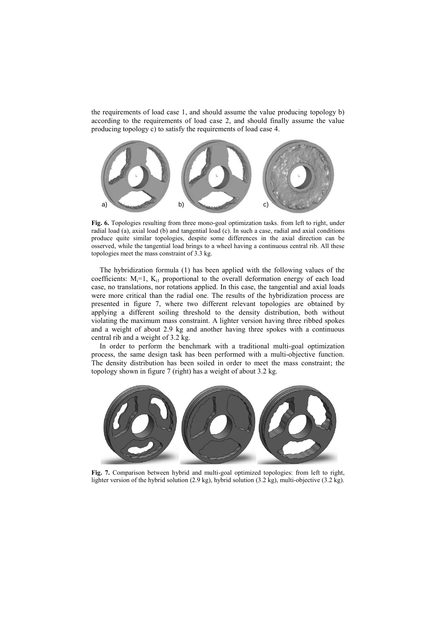the requirements of load case 1, and should assume the value producing topology b) according to the requirements of load case 2, and should finally assume the value producing topology c) to satisfy the requirements of load case 4.



**Fig. 6.** Topologies resulting from three mono-goal optimization tasks. from left to right, under radial load (a), axial load (b) and tangential load (c). In such a case, radial and axial conditions produce quite similar topologies, despite some differences in the axial direction can be osserved, while the tangential load brings to a wheel having a continuous central rib. All these topologies meet the mass constraint of 3.3 kg.

The hybridization formula (1) has been applied with the following values of the coefficients:  $M_i=1$ ,  $K_{i1}$  proportional to the overall deformation energy of each load case, no translations, nor rotations applied. In this case, the tangential and axial loads were more critical than the radial one. The results of the hybridization process are presented in figure 7, where two different relevant topologies are obtained by applying a different soiling threshold to the density distribution, both without violating the maximum mass constraint. A lighter version having three ribbed spokes and a weight of about 2.9 kg and another having three spokes with a continuous central rib and a weight of 3.2 kg.

In order to perform the benchmark with a traditional multi-goal optimization process, the same design task has been performed with a multi-objective function. The density distribution has been soiled in order to meet the mass constraint; the topology shown in figure 7 (right) has a weight of about 3.2 kg.



**Fig. 7.** Comparison between hybrid and multi-goal optimized topologies: from left to right, lighter version of the hybrid solution (2.9 kg), hybrid solution (3.2 kg), multi-objective (3.2 kg).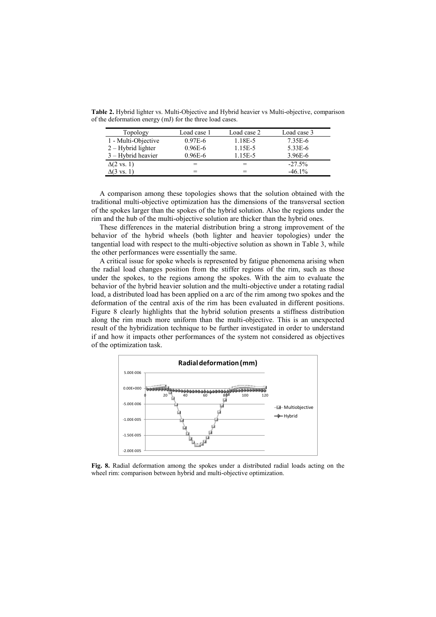**Table 2.** Hybrid lighter vs. Multi-Objective and Hybrid heavier vs Multi-objective, comparison of the deformation energy (mJ) for the three load cases.

| Topology                   | Load case 1 | Load case 2 | Load case 3 |
|----------------------------|-------------|-------------|-------------|
| 1 - Multi-Objective        | $0.97E-6$   | 1.18E-5     | 7.35E-6     |
| $2 - Hybrid$ lighter       | $0.96E - 6$ | 1.15E-5     | $5.33E-6$   |
| $3 -$ Hybrid heavier       | $0.96E - 6$ | 1.15E-5     | 3.96E-6     |
| $\Delta(2 \text{ vs. } 1)$ | =           | $=$         | $-27.5%$    |
| $\Delta(3 \text{ vs. } 1)$ |             | $=$         | $-46.1%$    |

A comparison among these topologies shows that the solution obtained with the traditional multi-objective optimization has the dimensions of the transversal section of the spokes larger than the spokes of the hybrid solution. Also the regions under the rim and the hub of the multi-objective solution are thicker than the hybrid ones.

These differences in the material distribution bring a strong improvement of the behavior of the hybrid wheels (both lighter and heavier topologies) under the tangential load with respect to the multi-objective solution as shown in Table 3, while the other performances were essentially the same.

A critical issue for spoke wheels is represented by fatigue phenomena arising when the radial load changes position from the stiffer regions of the rim, such as those under the spokes, to the regions among the spokes. With the aim to evaluate the behavior of the hybrid heavier solution and the multi-objective under a rotating radial load, a distributed load has been applied on a arc of the rim among two spokes and the deformation of the central axis of the rim has been evaluated in different positions. Figure 8 clearly highlights that the hybrid solution presents a stiffness distribution along the rim much more uniform than the multi-objective. This is an unexpected result of the hybridization technique to be further investigated in order to understand if and how it impacts other performances of the system not considered as objectives of the optimization task.



**Fig. 8.** Radial deformation among the spokes under a distributed radial loads acting on the wheel rim: comparison between hybrid and multi-objective optimization.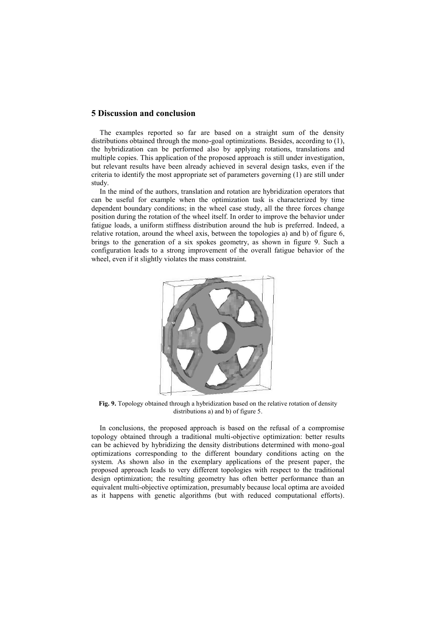#### **5 Discussion and conclusion**

The examples reported so far are based on a straight sum of the density distributions obtained through the mono-goal optimizations. Besides, according to (1), the hybridization can be performed also by applying rotations, translations and multiple copies. This application of the proposed approach is still under investigation, but relevant results have been already achieved in several design tasks, even if the criteria to identify the most appropriate set of parameters governing (1) are still under study.

In the mind of the authors, translation and rotation are hybridization operators that can be useful for example when the optimization task is characterized by time dependent boundary conditions; in the wheel case study, all the three forces change position during the rotation of the wheel itself. In order to improve the behavior under fatigue loads, a uniform stiffness distribution around the hub is preferred. Indeed, a relative rotation, around the wheel axis, between the topologies a) and b) of figure 6, brings to the generation of a six spokes geometry, as shown in figure 9. Such a configuration leads to a strong improvement of the overall fatigue behavior of the wheel, even if it slightly violates the mass constraint.



**Fig. 9.** Topology obtained through a hybridization based on the relative rotation of density distributions a) and b) of figure 5.

In conclusions, the proposed approach is based on the refusal of a compromise topology obtained through a traditional multi-objective optimization: better results can be achieved by hybridizing the density distributions determined with mono-goal optimizations corresponding to the different boundary conditions acting on the system. As shown also in the exemplary applications of the present paper, the proposed approach leads to very different topologies with respect to the traditional design optimization; the resulting geometry has often better performance than an equivalent multi-objective optimization, presumably because local optima are avoided as it happens with genetic algorithms (but with reduced computational efforts).